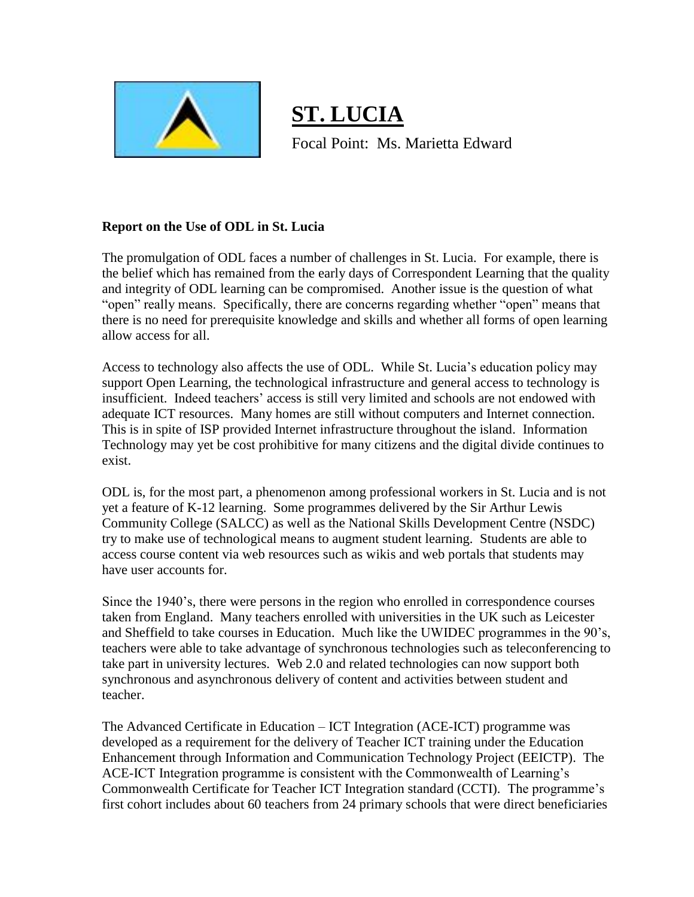

**ST. LUCIA** Focal Point: Ms. Marietta Edward

## **Report on the Use of ODL in St. Lucia**

The promulgation of ODL faces a number of challenges in St. Lucia. For example, there is the belief which has remained from the early days of Correspondent Learning that the quality and integrity of ODL learning can be compromised. Another issue is the question of what "open" really means. Specifically, there are concerns regarding whether "open" means that there is no need for prerequisite knowledge and skills and whether all forms of open learning allow access for all.

Access to technology also affects the use of ODL. While St. Lucia's education policy may support Open Learning, the technological infrastructure and general access to technology is insufficient. Indeed teachers' access is still very limited and schools are not endowed with adequate ICT resources. Many homes are still without computers and Internet connection. This is in spite of ISP provided Internet infrastructure throughout the island. Information Technology may yet be cost prohibitive for many citizens and the digital divide continues to exist.

ODL is, for the most part, a phenomenon among professional workers in St. Lucia and is not yet a feature of K-12 learning. Some programmes delivered by the Sir Arthur Lewis Community College (SALCC) as well as the National Skills Development Centre (NSDC) try to make use of technological means to augment student learning. Students are able to access course content via web resources such as wikis and web portals that students may have user accounts for.

Since the 1940's, there were persons in the region who enrolled in correspondence courses taken from England. Many teachers enrolled with universities in the UK such as Leicester and Sheffield to take courses in Education. Much like the UWIDEC programmes in the 90's, teachers were able to take advantage of synchronous technologies such as teleconferencing to take part in university lectures. Web 2.0 and related technologies can now support both synchronous and asynchronous delivery of content and activities between student and teacher.

The Advanced Certificate in Education – ICT Integration (ACE-ICT) programme was developed as a requirement for the delivery of Teacher ICT training under the Education Enhancement through Information and Communication Technology Project (EEICTP). The ACE-ICT Integration programme is consistent with the Commonwealth of Learning's Commonwealth Certificate for Teacher ICT Integration standard (CCTI). The programme's first cohort includes about 60 teachers from 24 primary schools that were direct beneficiaries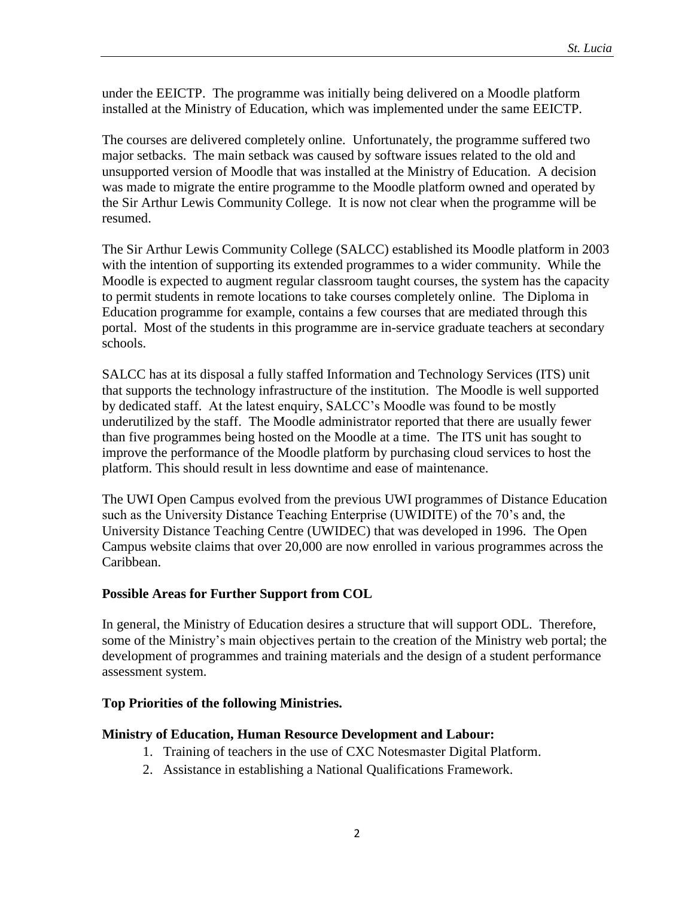under the EEICTP. The programme was initially being delivered on a Moodle platform installed at the Ministry of Education, which was implemented under the same EEICTP.

The courses are delivered completely online. Unfortunately, the programme suffered two major setbacks. The main setback was caused by software issues related to the old and unsupported version of Moodle that was installed at the Ministry of Education. A decision was made to migrate the entire programme to the Moodle platform owned and operated by the Sir Arthur Lewis Community College. It is now not clear when the programme will be resumed.

The Sir Arthur Lewis Community College (SALCC) established its Moodle platform in 2003 with the intention of supporting its extended programmes to a wider community. While the Moodle is expected to augment regular classroom taught courses, the system has the capacity to permit students in remote locations to take courses completely online. The Diploma in Education programme for example, contains a few courses that are mediated through this portal. Most of the students in this programme are in-service graduate teachers at secondary schools.

SALCC has at its disposal a fully staffed Information and Technology Services (ITS) unit that supports the technology infrastructure of the institution. The Moodle is well supported by dedicated staff. At the latest enquiry, SALCC's Moodle was found to be mostly underutilized by the staff. The Moodle administrator reported that there are usually fewer than five programmes being hosted on the Moodle at a time. The ITS unit has sought to improve the performance of the Moodle platform by purchasing cloud services to host the platform. This should result in less downtime and ease of maintenance.

The UWI Open Campus evolved from the previous UWI programmes of Distance Education such as the University Distance Teaching Enterprise (UWIDITE) of the 70's and, the University Distance Teaching Centre (UWIDEC) that was developed in 1996. The Open Campus website claims that over 20,000 are now enrolled in various programmes across the Caribbean.

#### **Possible Areas for Further Support from COL**

In general, the Ministry of Education desires a structure that will support ODL. Therefore, some of the Ministry's main objectives pertain to the creation of the Ministry web portal; the development of programmes and training materials and the design of a student performance assessment system.

#### **Top Priorities of the following Ministries.**

### **Ministry of Education, Human Resource Development and Labour:**

- 1. Training of teachers in the use of CXC Notesmaster Digital Platform.
- 2. Assistance in establishing a National Qualifications Framework.